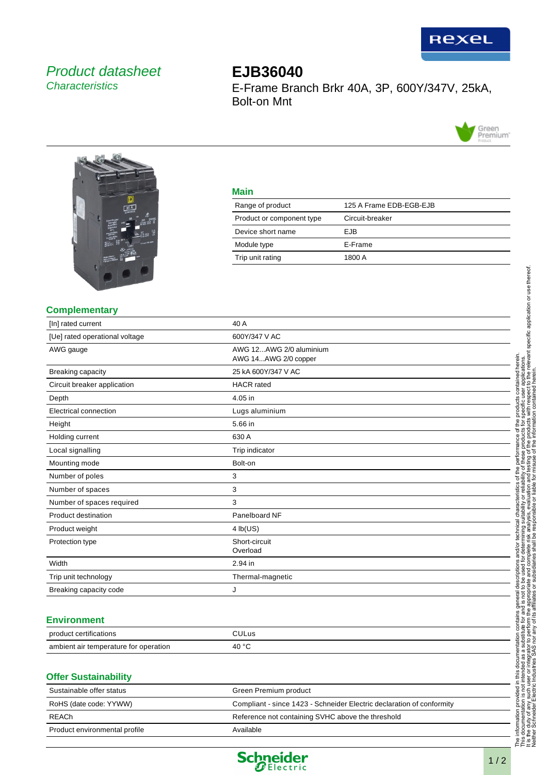

## Product datasheet **Characteristics**

# **EJB36040** E-Frame Branch Brkr 40A, 3P, 600Y/347V, 25kA, Bolt-on Mnt





### **Main**

| 125 A Frame EDB-EGB-EJB |
|-------------------------|
| Circuit-breaker         |
| EJB.                    |
| E-Frame                 |
| 1800 A                  |
|                         |

#### **Complementary**

| [In] rated current             | 40 A                                            |
|--------------------------------|-------------------------------------------------|
| [Ue] rated operational voltage | 600Y/347 V AC                                   |
| AWG gauge                      | AWG 12AWG 2/0 aluminium<br>AWG 14AWG 2/0 copper |
| <b>Breaking capacity</b>       | 25 kA 600Y/347 V AC                             |
| Circuit breaker application    | <b>HACR</b> rated                               |
| Depth                          | 4.05 in                                         |
| Electrical connection          | Lugs aluminium                                  |
| Height                         | 5.66 in                                         |
| Holding current                | 630 A                                           |
| Local signalling               | Trip indicator                                  |
| Mounting mode                  | Bolt-on                                         |
| Number of poles                | 3                                               |
| Number of spaces               | 3                                               |
| Number of spaces required      | 3                                               |
| Product destination            | Panelboard NF                                   |
| Product weight                 | 4 lb(US)                                        |
| Protection type                | Short-circuit<br>Overload                       |
| Width                          | 2.94 in                                         |
| Trip unit technology           | Thermal-magnetic                                |
| Breaking capacity code         | J                                               |

#### **Environment**

| $\cdots$<br>product certifications    | ∩ULus          |
|---------------------------------------|----------------|
| ambient air temperature for operation | 40 $\degree$ C |

#### **Offer Sustainability**

| Sustainable offer status      | Green Premium product                                                 |
|-------------------------------|-----------------------------------------------------------------------|
| RoHS (date code: YYWW)        | Compliant - since 1423 - Schneider Electric declaration of conformity |
| REACh                         | Reference not containing SVHC above the threshold                     |
| Product environmental profile | Available                                                             |